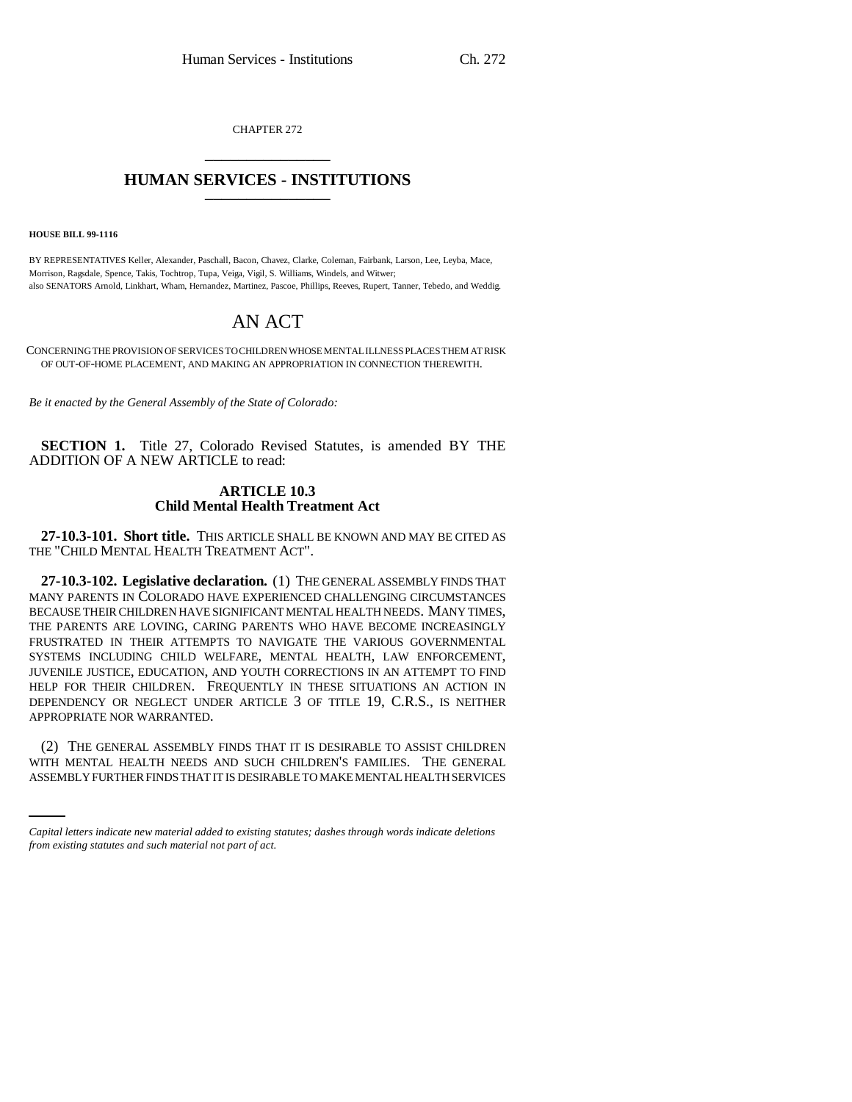CHAPTER 272 \_\_\_\_\_\_\_\_\_\_\_\_\_\_\_

## **HUMAN SERVICES - INSTITUTIONS** \_\_\_\_\_\_\_\_\_\_\_\_\_\_\_

**HOUSE BILL 99-1116**

BY REPRESENTATIVES Keller, Alexander, Paschall, Bacon, Chavez, Clarke, Coleman, Fairbank, Larson, Lee, Leyba, Mace, Morrison, Ragsdale, Spence, Takis, Tochtrop, Tupa, Veiga, Vigil, S. Williams, Windels, and Witwer; also SENATORS Arnold, Linkhart, Wham, Hernandez, Martinez, Pascoe, Phillips, Reeves, Rupert, Tanner, Tebedo, and Weddig.

# AN ACT

CONCERNING THE PROVISION OF SERVICES TO CHILDREN WHOSE MENTAL ILLNESS PLACES THEM AT RISK OF OUT-OF-HOME PLACEMENT, AND MAKING AN APPROPRIATION IN CONNECTION THEREWITH.

*Be it enacted by the General Assembly of the State of Colorado:*

**SECTION 1.** Title 27, Colorado Revised Statutes, is amended BY THE ADDITION OF A NEW ARTICLE to read:

## **ARTICLE 10.3 Child Mental Health Treatment Act**

**27-10.3-101. Short title.** THIS ARTICLE SHALL BE KNOWN AND MAY BE CITED AS THE "CHILD MENTAL HEALTH TREATMENT ACT".

**27-10.3-102. Legislative declaration.** (1) THE GENERAL ASSEMBLY FINDS THAT MANY PARENTS IN COLORADO HAVE EXPERIENCED CHALLENGING CIRCUMSTANCES BECAUSE THEIR CHILDREN HAVE SIGNIFICANT MENTAL HEALTH NEEDS. MANY TIMES, THE PARENTS ARE LOVING, CARING PARENTS WHO HAVE BECOME INCREASINGLY FRUSTRATED IN THEIR ATTEMPTS TO NAVIGATE THE VARIOUS GOVERNMENTAL SYSTEMS INCLUDING CHILD WELFARE, MENTAL HEALTH, LAW ENFORCEMENT, JUVENILE JUSTICE, EDUCATION, AND YOUTH CORRECTIONS IN AN ATTEMPT TO FIND HELP FOR THEIR CHILDREN. FREQUENTLY IN THESE SITUATIONS AN ACTION IN DEPENDENCY OR NEGLECT UNDER ARTICLE 3 OF TITLE 19, C.R.S., IS NEITHER APPROPRIATE NOR WARRANTED.

(2) THE GENERAL ASSEMBLY FINDS THAT IT IS DESIRABLE TO ASSIST CHILDREN WITH MENTAL HEALTH NEEDS AND SUCH CHILDREN'S FAMILIES. THE GENERAL ASSEMBLY FURTHER FINDS THAT IT IS DESIRABLE TO MAKE MENTAL HEALTH SERVICES

*Capital letters indicate new material added to existing statutes; dashes through words indicate deletions from existing statutes and such material not part of act.*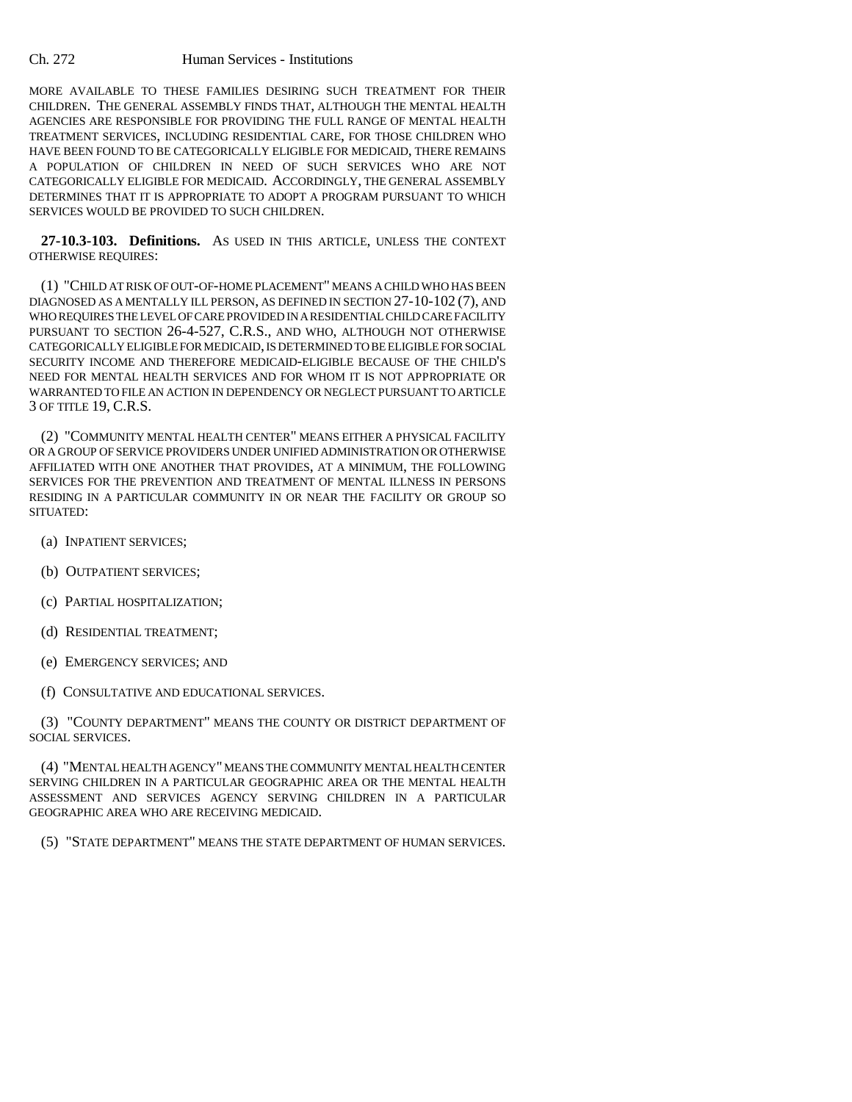### Ch. 272 Human Services - Institutions

MORE AVAILABLE TO THESE FAMILIES DESIRING SUCH TREATMENT FOR THEIR CHILDREN. THE GENERAL ASSEMBLY FINDS THAT, ALTHOUGH THE MENTAL HEALTH AGENCIES ARE RESPONSIBLE FOR PROVIDING THE FULL RANGE OF MENTAL HEALTH TREATMENT SERVICES, INCLUDING RESIDENTIAL CARE, FOR THOSE CHILDREN WHO HAVE BEEN FOUND TO BE CATEGORICALLY ELIGIBLE FOR MEDICAID, THERE REMAINS A POPULATION OF CHILDREN IN NEED OF SUCH SERVICES WHO ARE NOT CATEGORICALLY ELIGIBLE FOR MEDICAID. ACCORDINGLY, THE GENERAL ASSEMBLY DETERMINES THAT IT IS APPROPRIATE TO ADOPT A PROGRAM PURSUANT TO WHICH SERVICES WOULD BE PROVIDED TO SUCH CHILDREN.

**27-10.3-103. Definitions.** AS USED IN THIS ARTICLE, UNLESS THE CONTEXT OTHERWISE REQUIRES:

(1) "CHILD AT RISK OF OUT-OF-HOME PLACEMENT" MEANS A CHILD WHO HAS BEEN DIAGNOSED AS A MENTALLY ILL PERSON, AS DEFINED IN SECTION 27-10-102 (7), AND WHO REQUIRES THE LEVEL OF CARE PROVIDED IN A RESIDENTIAL CHILD CARE FACILITY PURSUANT TO SECTION 26-4-527, C.R.S., AND WHO, ALTHOUGH NOT OTHERWISE CATEGORICALLY ELIGIBLE FOR MEDICAID, IS DETERMINED TO BE ELIGIBLE FOR SOCIAL SECURITY INCOME AND THEREFORE MEDICAID-ELIGIBLE BECAUSE OF THE CHILD'S NEED FOR MENTAL HEALTH SERVICES AND FOR WHOM IT IS NOT APPROPRIATE OR WARRANTED TO FILE AN ACTION IN DEPENDENCY OR NEGLECT PURSUANT TO ARTICLE 3 OF TITLE 19, C.R.S.

(2) "COMMUNITY MENTAL HEALTH CENTER" MEANS EITHER A PHYSICAL FACILITY OR A GROUP OF SERVICE PROVIDERS UNDER UNIFIED ADMINISTRATION OR OTHERWISE AFFILIATED WITH ONE ANOTHER THAT PROVIDES, AT A MINIMUM, THE FOLLOWING SERVICES FOR THE PREVENTION AND TREATMENT OF MENTAL ILLNESS IN PERSONS RESIDING IN A PARTICULAR COMMUNITY IN OR NEAR THE FACILITY OR GROUP SO SITUATED:

- (a) INPATIENT SERVICES;
- (b) OUTPATIENT SERVICES;
- (c) PARTIAL HOSPITALIZATION;
- (d) RESIDENTIAL TREATMENT;
- (e) EMERGENCY SERVICES; AND
- (f) CONSULTATIVE AND EDUCATIONAL SERVICES.

(3) "COUNTY DEPARTMENT" MEANS THE COUNTY OR DISTRICT DEPARTMENT OF SOCIAL SERVICES.

(4) "MENTAL HEALTH AGENCY" MEANS THE COMMUNITY MENTAL HEALTH CENTER SERVING CHILDREN IN A PARTICULAR GEOGRAPHIC AREA OR THE MENTAL HEALTH ASSESSMENT AND SERVICES AGENCY SERVING CHILDREN IN A PARTICULAR GEOGRAPHIC AREA WHO ARE RECEIVING MEDICAID.

(5) "STATE DEPARTMENT" MEANS THE STATE DEPARTMENT OF HUMAN SERVICES.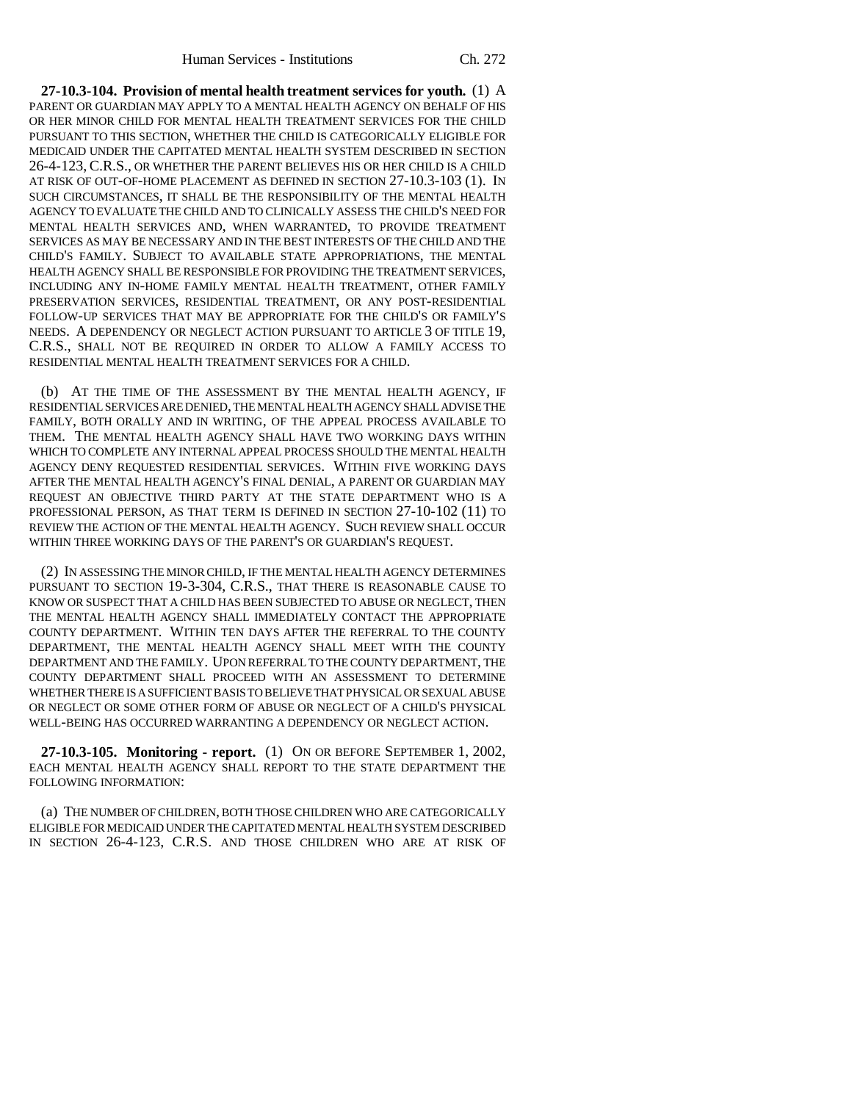**27-10.3-104. Provision of mental health treatment services for youth.** (1) A PARENT OR GUARDIAN MAY APPLY TO A MENTAL HEALTH AGENCY ON BEHALF OF HIS OR HER MINOR CHILD FOR MENTAL HEALTH TREATMENT SERVICES FOR THE CHILD PURSUANT TO THIS SECTION, WHETHER THE CHILD IS CATEGORICALLY ELIGIBLE FOR MEDICAID UNDER THE CAPITATED MENTAL HEALTH SYSTEM DESCRIBED IN SECTION 26-4-123, C.R.S., OR WHETHER THE PARENT BELIEVES HIS OR HER CHILD IS A CHILD AT RISK OF OUT-OF-HOME PLACEMENT AS DEFINED IN SECTION 27-10.3-103 (1). IN SUCH CIRCUMSTANCES, IT SHALL BE THE RESPONSIBILITY OF THE MENTAL HEALTH AGENCY TO EVALUATE THE CHILD AND TO CLINICALLY ASSESS THE CHILD'S NEED FOR MENTAL HEALTH SERVICES AND, WHEN WARRANTED, TO PROVIDE TREATMENT SERVICES AS MAY BE NECESSARY AND IN THE BEST INTERESTS OF THE CHILD AND THE CHILD'S FAMILY. SUBJECT TO AVAILABLE STATE APPROPRIATIONS, THE MENTAL HEALTH AGENCY SHALL BE RESPONSIBLE FOR PROVIDING THE TREATMENT SERVICES, INCLUDING ANY IN-HOME FAMILY MENTAL HEALTH TREATMENT, OTHER FAMILY PRESERVATION SERVICES, RESIDENTIAL TREATMENT, OR ANY POST-RESIDENTIAL FOLLOW-UP SERVICES THAT MAY BE APPROPRIATE FOR THE CHILD'S OR FAMILY'S NEEDS. A DEPENDENCY OR NEGLECT ACTION PURSUANT TO ARTICLE 3 OF TITLE 19, C.R.S., SHALL NOT BE REQUIRED IN ORDER TO ALLOW A FAMILY ACCESS TO RESIDENTIAL MENTAL HEALTH TREATMENT SERVICES FOR A CHILD.

(b) AT THE TIME OF THE ASSESSMENT BY THE MENTAL HEALTH AGENCY, IF RESIDENTIAL SERVICES ARE DENIED, THE MENTAL HEALTH AGENCY SHALL ADVISE THE FAMILY, BOTH ORALLY AND IN WRITING, OF THE APPEAL PROCESS AVAILABLE TO THEM. THE MENTAL HEALTH AGENCY SHALL HAVE TWO WORKING DAYS WITHIN WHICH TO COMPLETE ANY INTERNAL APPEAL PROCESS SHOULD THE MENTAL HEALTH AGENCY DENY REQUESTED RESIDENTIAL SERVICES. WITHIN FIVE WORKING DAYS AFTER THE MENTAL HEALTH AGENCY'S FINAL DENIAL, A PARENT OR GUARDIAN MAY REQUEST AN OBJECTIVE THIRD PARTY AT THE STATE DEPARTMENT WHO IS A PROFESSIONAL PERSON, AS THAT TERM IS DEFINED IN SECTION 27-10-102 (11) TO REVIEW THE ACTION OF THE MENTAL HEALTH AGENCY. SUCH REVIEW SHALL OCCUR WITHIN THREE WORKING DAYS OF THE PARENT'S OR GUARDIAN'S REQUEST.

(2) IN ASSESSING THE MINOR CHILD, IF THE MENTAL HEALTH AGENCY DETERMINES PURSUANT TO SECTION 19-3-304, C.R.S., THAT THERE IS REASONABLE CAUSE TO KNOW OR SUSPECT THAT A CHILD HAS BEEN SUBJECTED TO ABUSE OR NEGLECT, THEN THE MENTAL HEALTH AGENCY SHALL IMMEDIATELY CONTACT THE APPROPRIATE COUNTY DEPARTMENT. WITHIN TEN DAYS AFTER THE REFERRAL TO THE COUNTY DEPARTMENT, THE MENTAL HEALTH AGENCY SHALL MEET WITH THE COUNTY DEPARTMENT AND THE FAMILY. UPON REFERRAL TO THE COUNTY DEPARTMENT, THE COUNTY DEPARTMENT SHALL PROCEED WITH AN ASSESSMENT TO DETERMINE WHETHER THERE IS A SUFFICIENT BASIS TO BELIEVE THAT PHYSICAL OR SEXUAL ABUSE OR NEGLECT OR SOME OTHER FORM OF ABUSE OR NEGLECT OF A CHILD'S PHYSICAL WELL-BEING HAS OCCURRED WARRANTING A DEPENDENCY OR NEGLECT ACTION.

**27-10.3-105. Monitoring - report.** (1) ON OR BEFORE SEPTEMBER 1, 2002, EACH MENTAL HEALTH AGENCY SHALL REPORT TO THE STATE DEPARTMENT THE FOLLOWING INFORMATION:

(a) THE NUMBER OF CHILDREN, BOTH THOSE CHILDREN WHO ARE CATEGORICALLY ELIGIBLE FOR MEDICAID UNDER THE CAPITATED MENTAL HEALTH SYSTEM DESCRIBED IN SECTION 26-4-123, C.R.S. AND THOSE CHILDREN WHO ARE AT RISK OF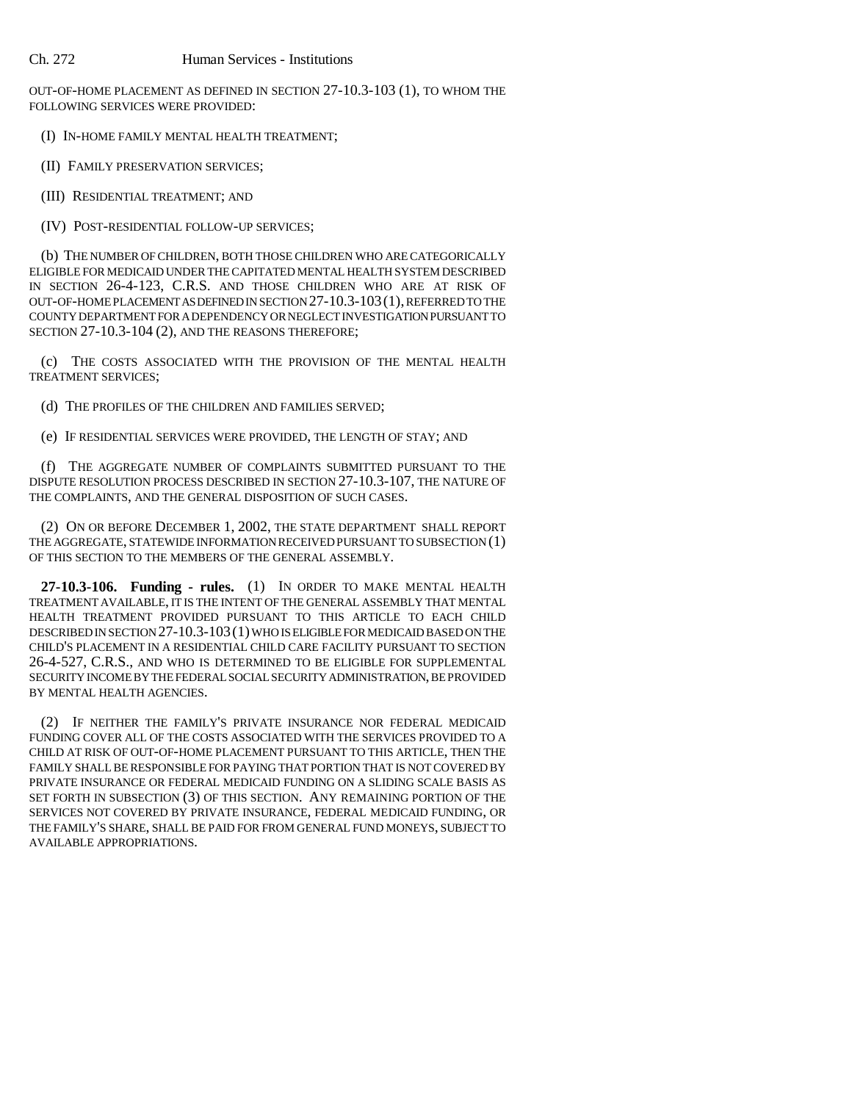OUT-OF-HOME PLACEMENT AS DEFINED IN SECTION 27-10.3-103 (1), TO WHOM THE FOLLOWING SERVICES WERE PROVIDED:

(I) IN-HOME FAMILY MENTAL HEALTH TREATMENT;

(II) FAMILY PRESERVATION SERVICES;

(III) RESIDENTIAL TREATMENT; AND

(IV) POST-RESIDENTIAL FOLLOW-UP SERVICES;

(b) THE NUMBER OF CHILDREN, BOTH THOSE CHILDREN WHO ARE CATEGORICALLY ELIGIBLE FOR MEDICAID UNDER THE CAPITATED MENTAL HEALTH SYSTEM DESCRIBED IN SECTION 26-4-123, C.R.S. AND THOSE CHILDREN WHO ARE AT RISK OF OUT-OF-HOME PLACEMENT AS DEFINED IN SECTION 27-10.3-103(1), REFERRED TO THE COUNTY DEPARTMENT FOR A DEPENDENCY OR NEGLECT INVESTIGATION PURSUANT TO SECTION 27-10.3-104 (2), AND THE REASONS THEREFORE:

(c) THE COSTS ASSOCIATED WITH THE PROVISION OF THE MENTAL HEALTH TREATMENT SERVICES;

(d) THE PROFILES OF THE CHILDREN AND FAMILIES SERVED;

(e) IF RESIDENTIAL SERVICES WERE PROVIDED, THE LENGTH OF STAY; AND

(f) THE AGGREGATE NUMBER OF COMPLAINTS SUBMITTED PURSUANT TO THE DISPUTE RESOLUTION PROCESS DESCRIBED IN SECTION 27-10.3-107, THE NATURE OF THE COMPLAINTS, AND THE GENERAL DISPOSITION OF SUCH CASES.

(2) ON OR BEFORE DECEMBER 1, 2002, THE STATE DEPARTMENT SHALL REPORT THE AGGREGATE, STATEWIDE INFORMATION RECEIVED PURSUANT TO SUBSECTION (1) OF THIS SECTION TO THE MEMBERS OF THE GENERAL ASSEMBLY.

**27-10.3-106. Funding - rules.** (1) IN ORDER TO MAKE MENTAL HEALTH TREATMENT AVAILABLE, IT IS THE INTENT OF THE GENERAL ASSEMBLY THAT MENTAL HEALTH TREATMENT PROVIDED PURSUANT TO THIS ARTICLE TO EACH CHILD DESCRIBED IN SECTION 27-10.3-103(1) WHO IS ELIGIBLE FOR MEDICAID BASED ON THE CHILD'S PLACEMENT IN A RESIDENTIAL CHILD CARE FACILITY PURSUANT TO SECTION 26-4-527, C.R.S., AND WHO IS DETERMINED TO BE ELIGIBLE FOR SUPPLEMENTAL SECURITY INCOME BY THE FEDERAL SOCIAL SECURITY ADMINISTRATION, BE PROVIDED BY MENTAL HEALTH AGENCIES.

(2) IF NEITHER THE FAMILY'S PRIVATE INSURANCE NOR FEDERAL MEDICAID FUNDING COVER ALL OF THE COSTS ASSOCIATED WITH THE SERVICES PROVIDED TO A CHILD AT RISK OF OUT-OF-HOME PLACEMENT PURSUANT TO THIS ARTICLE, THEN THE FAMILY SHALL BE RESPONSIBLE FOR PAYING THAT PORTION THAT IS NOT COVERED BY PRIVATE INSURANCE OR FEDERAL MEDICAID FUNDING ON A SLIDING SCALE BASIS AS SET FORTH IN SUBSECTION (3) OF THIS SECTION. ANY REMAINING PORTION OF THE SERVICES NOT COVERED BY PRIVATE INSURANCE, FEDERAL MEDICAID FUNDING, OR THE FAMILY'S SHARE, SHALL BE PAID FOR FROM GENERAL FUND MONEYS, SUBJECT TO AVAILABLE APPROPRIATIONS.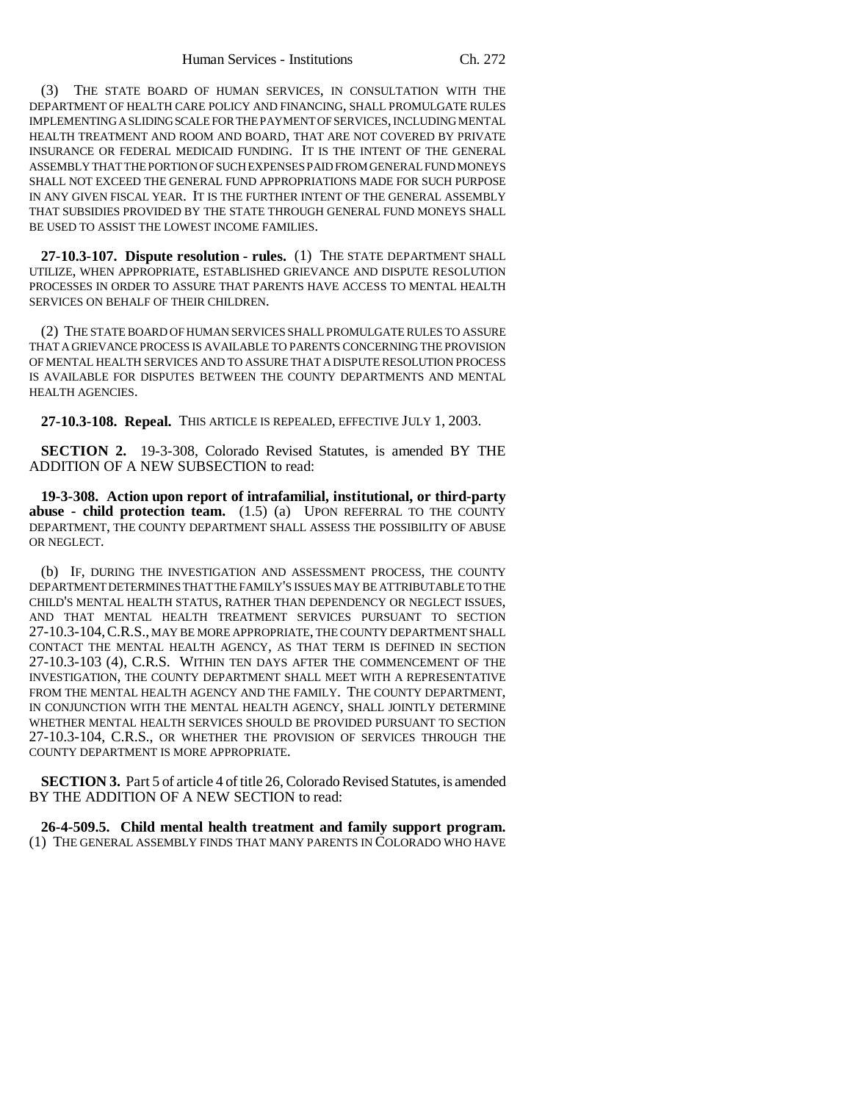(3) THE STATE BOARD OF HUMAN SERVICES, IN CONSULTATION WITH THE DEPARTMENT OF HEALTH CARE POLICY AND FINANCING, SHALL PROMULGATE RULES IMPLEMENTING A SLIDING SCALE FOR THE PAYMENT OF SERVICES, INCLUDING MENTAL HEALTH TREATMENT AND ROOM AND BOARD, THAT ARE NOT COVERED BY PRIVATE INSURANCE OR FEDERAL MEDICAID FUNDING. IT IS THE INTENT OF THE GENERAL ASSEMBLY THAT THE PORTION OF SUCH EXPENSES PAID FROM GENERAL FUND MONEYS SHALL NOT EXCEED THE GENERAL FUND APPROPRIATIONS MADE FOR SUCH PURPOSE IN ANY GIVEN FISCAL YEAR. IT IS THE FURTHER INTENT OF THE GENERAL ASSEMBLY THAT SUBSIDIES PROVIDED BY THE STATE THROUGH GENERAL FUND MONEYS SHALL BE USED TO ASSIST THE LOWEST INCOME FAMILIES.

**27-10.3-107. Dispute resolution - rules.** (1) THE STATE DEPARTMENT SHALL UTILIZE, WHEN APPROPRIATE, ESTABLISHED GRIEVANCE AND DISPUTE RESOLUTION PROCESSES IN ORDER TO ASSURE THAT PARENTS HAVE ACCESS TO MENTAL HEALTH SERVICES ON BEHALF OF THEIR CHILDREN.

(2) THE STATE BOARD OF HUMAN SERVICES SHALL PROMULGATE RULES TO ASSURE THAT A GRIEVANCE PROCESS IS AVAILABLE TO PARENTS CONCERNING THE PROVISION OF MENTAL HEALTH SERVICES AND TO ASSURE THAT A DISPUTE RESOLUTION PROCESS IS AVAILABLE FOR DISPUTES BETWEEN THE COUNTY DEPARTMENTS AND MENTAL HEALTH AGENCIES.

**27-10.3-108. Repeal.** THIS ARTICLE IS REPEALED, EFFECTIVE JULY 1, 2003.

**SECTION 2.** 19-3-308, Colorado Revised Statutes, is amended BY THE ADDITION OF A NEW SUBSECTION to read:

**19-3-308. Action upon report of intrafamilial, institutional, or third-party abuse - child protection team.** (1.5) (a) UPON REFERRAL TO THE COUNTY DEPARTMENT, THE COUNTY DEPARTMENT SHALL ASSESS THE POSSIBILITY OF ABUSE OR NEGLECT.

(b) IF, DURING THE INVESTIGATION AND ASSESSMENT PROCESS, THE COUNTY DEPARTMENT DETERMINES THAT THE FAMILY'S ISSUES MAY BE ATTRIBUTABLE TO THE CHILD'S MENTAL HEALTH STATUS, RATHER THAN DEPENDENCY OR NEGLECT ISSUES, AND THAT MENTAL HEALTH TREATMENT SERVICES PURSUANT TO SECTION 27-10.3-104,C.R.S., MAY BE MORE APPROPRIATE, THE COUNTY DEPARTMENT SHALL CONTACT THE MENTAL HEALTH AGENCY, AS THAT TERM IS DEFINED IN SECTION 27-10.3-103 (4), C.R.S. WITHIN TEN DAYS AFTER THE COMMENCEMENT OF THE INVESTIGATION, THE COUNTY DEPARTMENT SHALL MEET WITH A REPRESENTATIVE FROM THE MENTAL HEALTH AGENCY AND THE FAMILY. THE COUNTY DEPARTMENT, IN CONJUNCTION WITH THE MENTAL HEALTH AGENCY, SHALL JOINTLY DETERMINE WHETHER MENTAL HEALTH SERVICES SHOULD BE PROVIDED PURSUANT TO SECTION 27-10.3-104, C.R.S., OR WHETHER THE PROVISION OF SERVICES THROUGH THE COUNTY DEPARTMENT IS MORE APPROPRIATE.

**SECTION 3.** Part 5 of article 4 of title 26, Colorado Revised Statutes, is amended BY THE ADDITION OF A NEW SECTION to read:

**26-4-509.5. Child mental health treatment and family support program.** (1) THE GENERAL ASSEMBLY FINDS THAT MANY PARENTS IN COLORADO WHO HAVE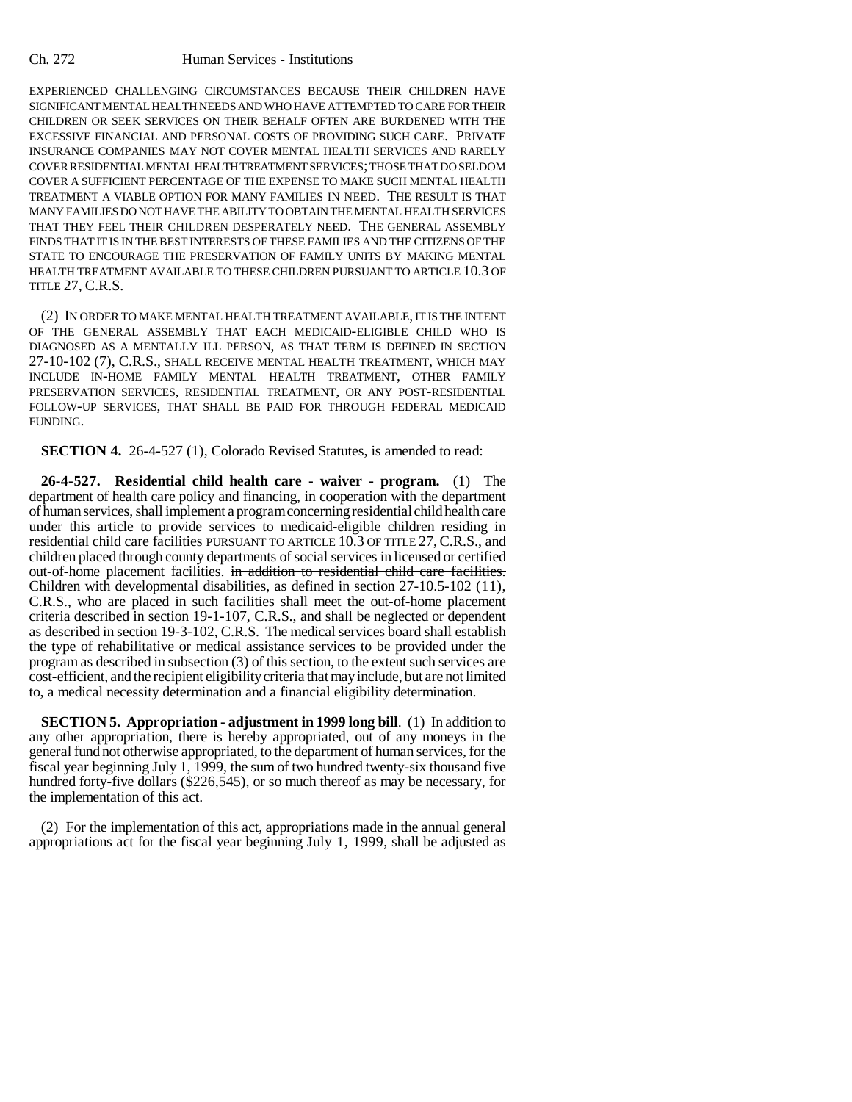#### Ch. 272 Human Services - Institutions

EXPERIENCED CHALLENGING CIRCUMSTANCES BECAUSE THEIR CHILDREN HAVE SIGNIFICANT MENTAL HEALTH NEEDS AND WHO HAVE ATTEMPTED TO CARE FOR THEIR CHILDREN OR SEEK SERVICES ON THEIR BEHALF OFTEN ARE BURDENED WITH THE EXCESSIVE FINANCIAL AND PERSONAL COSTS OF PROVIDING SUCH CARE. PRIVATE INSURANCE COMPANIES MAY NOT COVER MENTAL HEALTH SERVICES AND RARELY COVER RESIDENTIAL MENTAL HEALTH TREATMENT SERVICES; THOSE THAT DO SELDOM COVER A SUFFICIENT PERCENTAGE OF THE EXPENSE TO MAKE SUCH MENTAL HEALTH TREATMENT A VIABLE OPTION FOR MANY FAMILIES IN NEED. THE RESULT IS THAT MANY FAMILIES DO NOT HAVE THE ABILITY TO OBTAIN THE MENTAL HEALTH SERVICES THAT THEY FEEL THEIR CHILDREN DESPERATELY NEED. THE GENERAL ASSEMBLY FINDS THAT IT IS IN THE BEST INTERESTS OF THESE FAMILIES AND THE CITIZENS OF THE STATE TO ENCOURAGE THE PRESERVATION OF FAMILY UNITS BY MAKING MENTAL HEALTH TREATMENT AVAILABLE TO THESE CHILDREN PURSUANT TO ARTICLE 10.3 OF TITLE 27, C.R.S.

(2) IN ORDER TO MAKE MENTAL HEALTH TREATMENT AVAILABLE, IT IS THE INTENT OF THE GENERAL ASSEMBLY THAT EACH MEDICAID-ELIGIBLE CHILD WHO IS DIAGNOSED AS A MENTALLY ILL PERSON, AS THAT TERM IS DEFINED IN SECTION 27-10-102 (7), C.R.S., SHALL RECEIVE MENTAL HEALTH TREATMENT, WHICH MAY INCLUDE IN-HOME FAMILY MENTAL HEALTH TREATMENT, OTHER FAMILY PRESERVATION SERVICES, RESIDENTIAL TREATMENT, OR ANY POST-RESIDENTIAL FOLLOW-UP SERVICES, THAT SHALL BE PAID FOR THROUGH FEDERAL MEDICAID FUNDING.

**SECTION 4.** 26-4-527 (1), Colorado Revised Statutes, is amended to read:

**26-4-527. Residential child health care - waiver - program.** (1) The department of health care policy and financing, in cooperation with the department of human services, shall implement a program concerning residential child health care under this article to provide services to medicaid-eligible children residing in residential child care facilities PURSUANT TO ARTICLE 10.3 OF TITLE 27, C.R.S., and children placed through county departments of social services in licensed or certified out-of-home placement facilities. in addition to residential child care facilities. Children with developmental disabilities, as defined in section 27-10.5-102 (11), C.R.S., who are placed in such facilities shall meet the out-of-home placement criteria described in section 19-1-107, C.R.S., and shall be neglected or dependent as described in section 19-3-102, C.R.S. The medical services board shall establish the type of rehabilitative or medical assistance services to be provided under the program as described in subsection (3) of this section, to the extent such services are cost-efficient, and the recipient eligibility criteria that may include, but are not limited to, a medical necessity determination and a financial eligibility determination.

**SECTION 5. Appropriation - adjustment in 1999 long bill**. (1) In addition to any other appropriation, there is hereby appropriated, out of any moneys in the general fund not otherwise appropriated, to the department of human services, for the fiscal year beginning July 1, 1999, the sum of two hundred twenty-six thousand five hundred forty-five dollars (\$226,545), or so much thereof as may be necessary, for the implementation of this act.

(2) For the implementation of this act, appropriations made in the annual general appropriations act for the fiscal year beginning July 1, 1999, shall be adjusted as